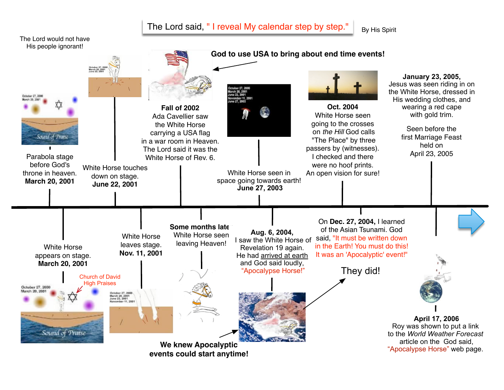## The Lord said, " I reveal My calendar step by step."